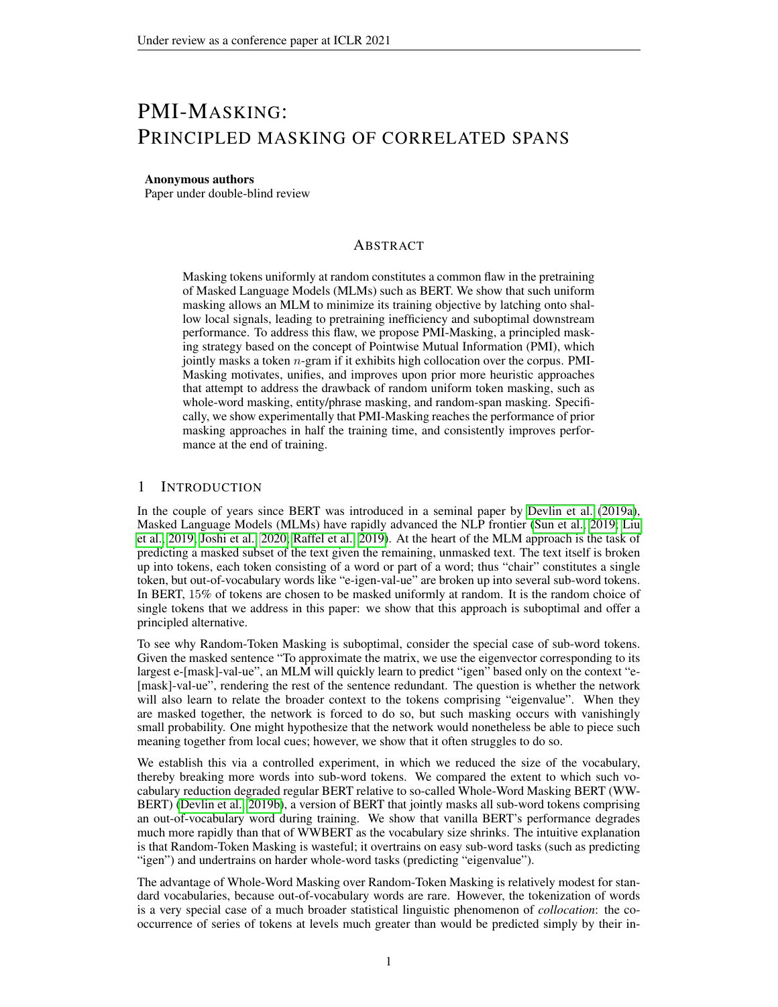# PMI-MASKING: PRINCIPLED MASKING OF CORRELATED SPANS

#### Anonymous authors

Paper under double-blind review

## ABSTRACT

Masking tokens uniformly at random constitutes a common flaw in the pretraining of Masked Language Models (MLMs) such as BERT. We show that such uniform masking allows an MLM to minimize its training objective by latching onto shallow local signals, leading to pretraining inefficiency and suboptimal downstream performance. To address this flaw, we propose PMI-Masking, a principled masking strategy based on the concept of Pointwise Mutual Information (PMI), which jointly masks a token  $n$ -gram if it exhibits high collocation over the corpus. PMI-Masking motivates, unifies, and improves upon prior more heuristic approaches that attempt to address the drawback of random uniform token masking, such as whole-word masking, entity/phrase masking, and random-span masking. Specifically, we show experimentally that PMI-Masking reaches the performance of prior masking approaches in half the training time, and consistently improves performance at the end of training.

### 1 INTRODUCTION

In the couple of years since BERT was introduced in a seminal paper by [Devlin et al.](#page-8-0) [\(2019a\)](#page-8-0), Masked Language Models (MLMs) have rapidly advanced the NLP frontier [\(Sun et al., 2019;](#page-9-0) [Liu](#page-8-1) [et al., 2019;](#page-8-1) [Joshi et al., 2020;](#page-8-2) [Raffel et al., 2019\)](#page-8-3). At the heart of the MLM approach is the task of predicting a masked subset of the text given the remaining, unmasked text. The text itself is broken up into tokens, each token consisting of a word or part of a word; thus "chair" constitutes a single token, but out-of-vocabulary words like "e-igen-val-ue" are broken up into several sub-word tokens. In BERT, 15% of tokens are chosen to be masked uniformly at random. It is the random choice of single tokens that we address in this paper: we show that this approach is suboptimal and offer a principled alternative.

To see why Random-Token Masking is suboptimal, consider the special case of sub-word tokens. Given the masked sentence "To approximate the matrix, we use the eigenvector corresponding to its largest e-[mask]-val-ue", an MLM will quickly learn to predict "igen" based only on the context "e- [mask]-val-ue", rendering the rest of the sentence redundant. The question is whether the network will also learn to relate the broader context to the tokens comprising "eigenvalue". When they are masked together, the network is forced to do so, but such masking occurs with vanishingly small probability. One might hypothesize that the network would nonetheless be able to piece such meaning together from local cues; however, we show that it often struggles to do so.

We establish this via a controlled experiment, in which we reduced the size of the vocabulary, thereby breaking more words into sub-word tokens. We compared the extent to which such vocabulary reduction degraded regular BERT relative to so-called Whole-Word Masking BERT (WW-BERT) [\(Devlin et al., 2019b\)](#page-8-4), a version of BERT that jointly masks all sub-word tokens comprising an out-of-vocabulary word during training. We show that vanilla BERT's performance degrades much more rapidly than that of WWBERT as the vocabulary size shrinks. The intuitive explanation is that Random-Token Masking is wasteful; it overtrains on easy sub-word tasks (such as predicting "igen") and undertrains on harder whole-word tasks (predicting "eigenvalue").

The advantage of Whole-Word Masking over Random-Token Masking is relatively modest for standard vocabularies, because out-of-vocabulary words are rare. However, the tokenization of words is a very special case of a much broader statistical linguistic phenomenon of *collocation*: the cooccurrence of series of tokens at levels much greater than would be predicted simply by their in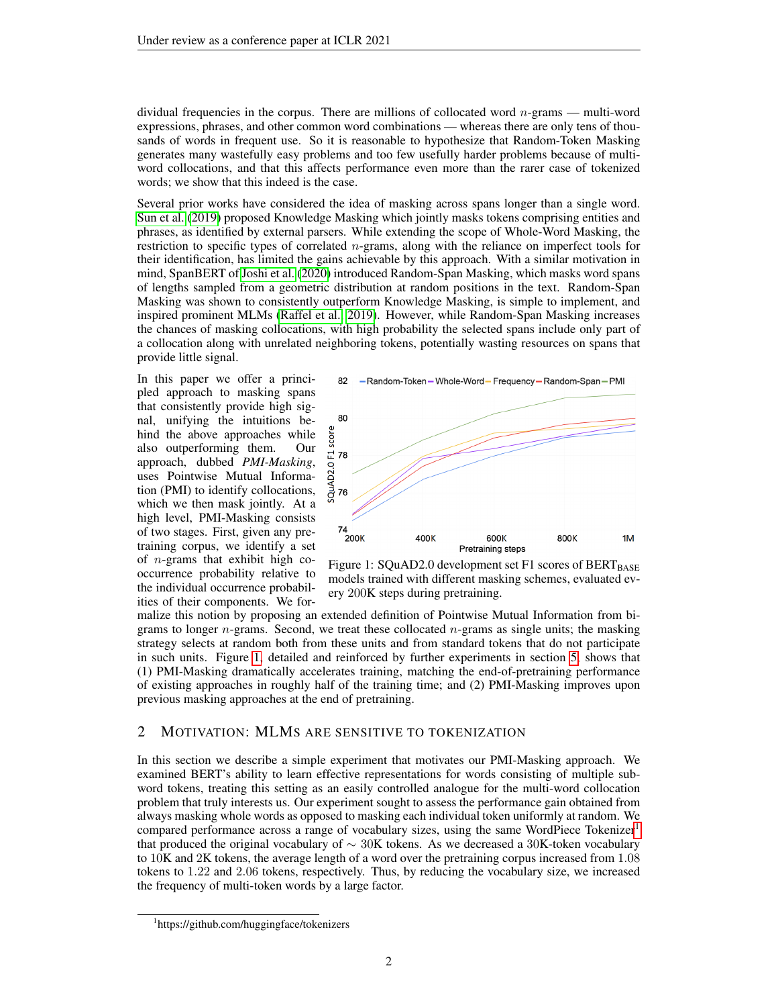dividual frequencies in the corpus. There are millions of collocated word  $n$ -grams — multi-word expressions, phrases, and other common word combinations — whereas there are only tens of thousands of words in frequent use. So it is reasonable to hypothesize that Random-Token Masking generates many wastefully easy problems and too few usefully harder problems because of multiword collocations, and that this affects performance even more than the rarer case of tokenized words; we show that this indeed is the case.

Several prior works have considered the idea of masking across spans longer than a single word. [Sun et al.](#page-9-0) [\(2019\)](#page-9-0) proposed Knowledge Masking which jointly masks tokens comprising entities and phrases, as identified by external parsers. While extending the scope of Whole-Word Masking, the restriction to specific types of correlated n-grams, along with the reliance on imperfect tools for their identification, has limited the gains achievable by this approach. With a similar motivation in mind, SpanBERT of [Joshi et al.](#page-8-2) [\(2020\)](#page-8-2) introduced Random-Span Masking, which masks word spans of lengths sampled from a geometric distribution at random positions in the text. Random-Span Masking was shown to consistently outperform Knowledge Masking, is simple to implement, and inspired prominent MLMs [\(Raffel et al., 2019\)](#page-8-3). However, while Random-Span Masking increases the chances of masking collocations, with high probability the selected spans include only part of a collocation along with unrelated neighboring tokens, potentially wasting resources on spans that provide little signal.

In this paper we offer a principled approach to masking spans that consistently provide high signal, unifying the intuitions behind the above approaches while also outperforming them. Our approach, dubbed *PMI-Masking*, uses Pointwise Mutual Information (PMI) to identify collocations, which we then mask jointly. At a high level, PMI-Masking consists of two stages. First, given any pretraining corpus, we identify a set of  $n$ -grams that exhibit high cooccurrence probability relative to the individual occurrence probabilities of their components. We for-

<span id="page-1-0"></span>

Figure 1: SQuAD2.0 development set F1 scores of  $BERT_{BASE}$ models trained with different masking schemes, evaluated every 200K steps during pretraining.

malize this notion by proposing an extended definition of Pointwise Mutual Information from bigrams to longer  $n$ -grams. Second, we treat these collocated  $n$ -grams as single units; the masking strategy selects at random both from these units and from standard tokens that do not participate in such units. Figure [1,](#page-1-0) detailed and reinforced by further experiments in section [5,](#page-5-0) shows that (1) PMI-Masking dramatically accelerates training, matching the end-of-pretraining performance of existing approaches in roughly half of the training time; and (2) PMI-Masking improves upon previous masking approaches at the end of pretraining.

## 2 MOTIVATION: MLMS ARE SENSITIVE TO TOKENIZATION

In this section we describe a simple experiment that motivates our PMI-Masking approach. We examined BERT's ability to learn effective representations for words consisting of multiple subword tokens, treating this setting as an easily controlled analogue for the multi-word collocation problem that truly interests us. Our experiment sought to assess the performance gain obtained from always masking whole words as opposed to masking each individual token uniformly at random. We compared performance across a range of vocabulary sizes, using the same WordPiece Tokenizer<sup>[1](#page-1-1)</sup> that produced the original vocabulary of  $\sim 30K$  tokens. As we decreased a 30K-token vocabulary to 10K and 2K tokens, the average length of a word over the pretraining corpus increased from 1.08 tokens to 1.22 and 2.06 tokens, respectively. Thus, by reducing the vocabulary size, we increased the frequency of multi-token words by a large factor.

<span id="page-1-1"></span><sup>1</sup> https://github.com/huggingface/tokenizers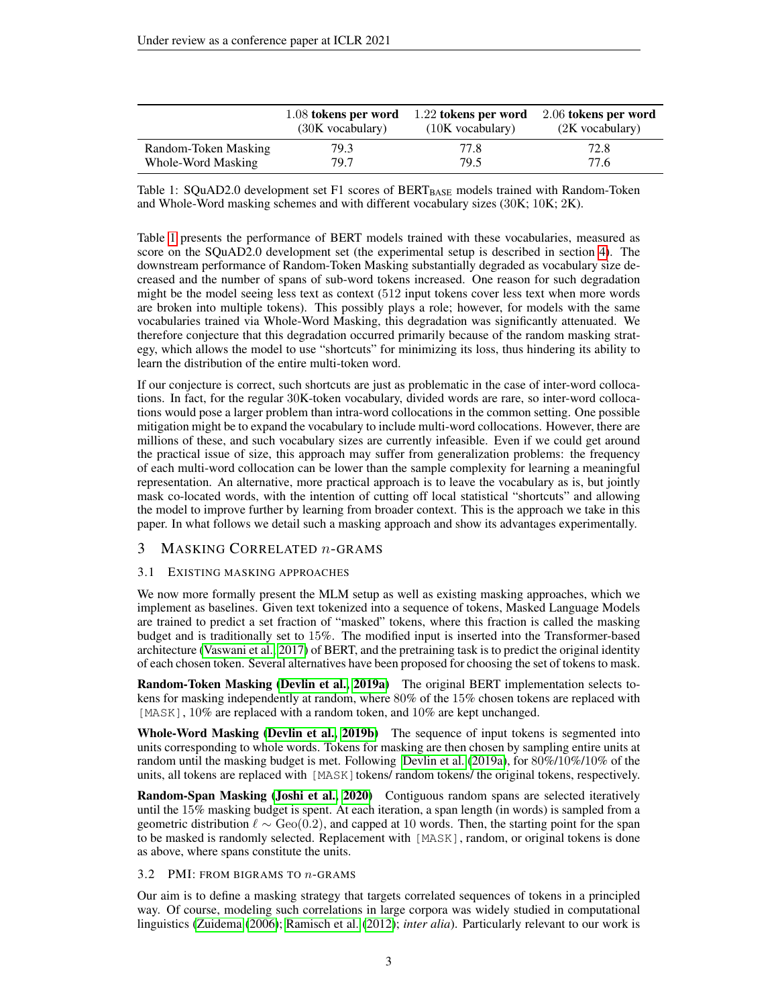<span id="page-2-0"></span>

|                      | 1.08 tokens per word | 1.22 tokens per word | 2.06 tokens per word |
|----------------------|----------------------|----------------------|----------------------|
|                      | $(30K)$ vocabulary)  | $(10K)$ vocabulary)  | $(2K)$ vocabulary)   |
| Random-Token Masking | 79.3                 | 77.8                 | 72.8                 |
| Whole-Word Masking   | 79.7                 | 79.5                 | 77.6                 |

Table 1: SQuAD2.0 development set F1 scores of BERT $_{\text{BASE}}$  models trained with Random-Token and Whole-Word masking schemes and with different vocabulary sizes (30K; 10K; 2K).

Table [1](#page-2-0) presents the performance of BERT models trained with these vocabularies, measured as score on the SQuAD2.0 development set (the experimental setup is described in section [4\)](#page-4-0). The downstream performance of Random-Token Masking substantially degraded as vocabulary size decreased and the number of spans of sub-word tokens increased. One reason for such degradation might be the model seeing less text as context (512 input tokens cover less text when more words are broken into multiple tokens). This possibly plays a role; however, for models with the same vocabularies trained via Whole-Word Masking, this degradation was significantly attenuated. We therefore conjecture that this degradation occurred primarily because of the random masking strategy, which allows the model to use "shortcuts" for minimizing its loss, thus hindering its ability to learn the distribution of the entire multi-token word.

If our conjecture is correct, such shortcuts are just as problematic in the case of inter-word collocations. In fact, for the regular 30K-token vocabulary, divided words are rare, so inter-word collocations would pose a larger problem than intra-word collocations in the common setting. One possible mitigation might be to expand the vocabulary to include multi-word collocations. However, there are millions of these, and such vocabulary sizes are currently infeasible. Even if we could get around the practical issue of size, this approach may suffer from generalization problems: the frequency of each multi-word collocation can be lower than the sample complexity for learning a meaningful representation. An alternative, more practical approach is to leave the vocabulary as is, but jointly mask co-located words, with the intention of cutting off local statistical "shortcuts" and allowing the model to improve further by learning from broader context. This is the approach we take in this paper. In what follows we detail such a masking approach and show its advantages experimentally.

#### <span id="page-2-1"></span>3 MASKING CORRELATED  $n$ -GRAMS

#### 3.1 EXISTING MASKING APPROACHES

We now more formally present the MLM setup as well as existing masking approaches, which we implement as baselines. Given text tokenized into a sequence of tokens, Masked Language Models are trained to predict a set fraction of "masked" tokens, where this fraction is called the masking budget and is traditionally set to 15%. The modified input is inserted into the Transformer-based architecture [\(Vaswani et al., 2017\)](#page-9-1) of BERT, and the pretraining task is to predict the original identity of each chosen token. Several alternatives have been proposed for choosing the set of tokens to mask.

Random-Token Masking [\(Devlin et al., 2019a\)](#page-8-0) The original BERT implementation selects tokens for masking independently at random, where 80% of the 15% chosen tokens are replaced with [MASK],  $10\%$  are replaced with a random token, and  $10\%$  are kept unchanged.

Whole-Word Masking [\(Devlin et al., 2019b\)](#page-8-4) The sequence of input tokens is segmented into units corresponding to whole words. Tokens for masking are then chosen by sampling entire units at random until the masking budget is met. Following [Devlin et al.](#page-8-0) [\(2019a\)](#page-8-0), for 80%/10%/10% of the units, all tokens are replaced with [MASK] tokens/ random tokens/ the original tokens, respectively.

Random-Span Masking [\(Joshi et al., 2020\)](#page-8-2) Contiguous random spans are selected iteratively until the 15% masking budget is spent. At each iteration, a span length (in words) is sampled from a geometric distribution  $\ell \sim \text{Geo}(0.2)$ , and capped at 10 words. Then, the starting point for the span to be masked is randomly selected. Replacement with [MASK], random, or original tokens is done as above, where spans constitute the units.

#### 3.2 PMI: FROM BIGRAMS TO n-GRAMS

Our aim is to define a masking strategy that targets correlated sequences of tokens in a principled way. Of course, modeling such correlations in large corpora was widely studied in computational linguistics [\(Zuidema](#page-9-2) [\(2006\)](#page-9-2); [Ramisch et al.](#page-9-3) [\(2012\)](#page-9-3); *inter alia*). Particularly relevant to our work is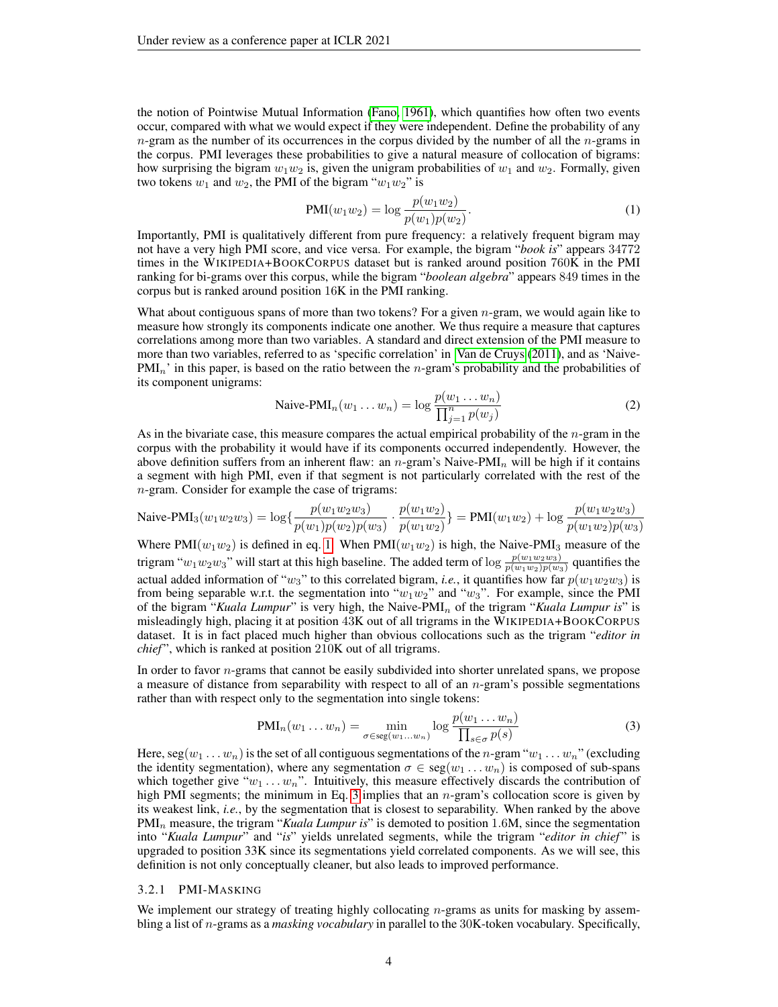the notion of Pointwise Mutual Information [\(Fano, 1961\)](#page-8-5), which quantifies how often two events occur, compared with what we would expect if they were independent. Define the probability of any  $n$ -gram as the number of its occurrences in the corpus divided by the number of all the  $n$ -grams in the corpus. PMI leverages these probabilities to give a natural measure of collocation of bigrams: how surprising the bigram  $w_1w_2$  is, given the unigram probabilities of  $w_1$  and  $w_2$ . Formally, given two tokens  $w_1$  and  $w_2$ , the PMI of the bigram " $w_1w_2$ " is

<span id="page-3-0"></span>
$$
PMI(w_1w_2) = \log \frac{p(w_1w_2)}{p(w_1)p(w_2)}.
$$
\n(1)

Importantly, PMI is qualitatively different from pure frequency: a relatively frequent bigram may not have a very high PMI score, and vice versa. For example, the bigram "*book is*" appears 34772 times in the WIKIPEDIA+BOOKCORPUS dataset but is ranked around position 760K in the PMI ranking for bi-grams over this corpus, while the bigram "*boolean algebra*" appears 849 times in the corpus but is ranked around position 16K in the PMI ranking.

What about contiguous spans of more than two tokens? For a given  $n$ -gram, we would again like to measure how strongly its components indicate one another. We thus require a measure that captures correlations among more than two variables. A standard and direct extension of the PMI measure to more than two variables, referred to as 'specific correlation' in [Van de Cruys](#page-9-4) [\(2011\)](#page-9-4), and as 'Naive- $PMI_n'$  in this paper, is based on the ratio between the *n*-gram's probability and the probabilities of its component unigrams:

<span id="page-3-2"></span>
$$
\text{Naive-PMI}_n(w_1 \dots w_n) = \log \frac{p(w_1 \dots w_n)}{\prod_{j=1}^n p(w_j)}\tag{2}
$$

As in the bivariate case, this measure compares the actual empirical probability of the  $n$ -gram in the corpus with the probability it would have if its components occurred independently. However, the above definition suffers from an inherent flaw: an n-gram's Naive-PMI<sub>n</sub> will be high if it contains a segment with high PMI, even if that segment is not particularly correlated with the rest of the n-gram. Consider for example the case of trigrams:

$$
\text{Naive-PMI}_3(w_1w_2w_3) = \log\{\frac{p(w_1w_2w_3)}{p(w_1)p(w_2)p(w_3)} \cdot \frac{p(w_1w_2)}{p(w_1w_2)}\} = \text{PMI}(w_1w_2) + \log \frac{p(w_1w_2w_3)}{p(w_1w_2)p(w_3)}
$$

Where PMI $(w_1w_2)$  is defined in eq. [1.](#page-3-0) When PMI $(w_1w_2)$  is high, the Naive-PMI<sub>3</sub> measure of the trigram " $w_1w_2w_3$ " will start at this high baseline. The added term of  $\log \frac{p(w_1w_2w_3)}{p(w_1w_2)p(w_3)}$  quantifies the actual added information of "w<sub>3</sub>" to this correlated bigram, *i.e.*, it quantifies how far  $p(w_1w_2w_3)$  is from being separable w.r.t. the segmentation into " $w_1w_2$ " and " $w_3$ ". For example, since the PMI of the bigram "*Kuala Lumpur*" is very high, the Naive-PMI<sup>n</sup> of the trigram "*Kuala Lumpur is*" is misleadingly high, placing it at position 43K out of all trigrams in the WIKIPEDIA+BOOKCORPUS dataset. It is in fact placed much higher than obvious collocations such as the trigram "*editor in chief* ", which is ranked at position 210K out of all trigrams.

In order to favor *n*-grams that cannot be easily subdivided into shorter unrelated spans, we propose a measure of distance from separability with respect to all of an  $n$ -gram's possible segmentations rather than with respect only to the segmentation into single tokens:

<span id="page-3-1"></span>
$$
PMI_n(w_1 \dots w_n) = \min_{\sigma \in \text{seg}(w_1 \dots w_n)} \log \frac{p(w_1 \dots w_n)}{\prod_{s \in \sigma} p(s)} \tag{3}
$$

Here,  $\text{seg}(w_1 \ldots w_n)$  is the set of all contiguous segmentations of the n-gram " $w_1 \ldots w_n$ " (excluding the identity segmentation), where any segmentation  $\sigma \in \text{seg}(w_1 \dots w_n)$  is composed of sub-spans which together give " $w_1 \ldots w_n$ ". Intuitively, this measure effectively discards the contribution of high PMI segments; the minimum in Eq. [3](#page-3-1) implies that an  $n$ -gram's collocation score is given by its weakest link, *i.e.*, by the segmentation that is closest to separability. When ranked by the above PMI<sub>n</sub> measure, the trigram "*Kuala Lumpur is*" is demoted to position 1.6M, since the segmentation into "Kuala Lumpur" and "is" yields unrelated segments, while the trigram "editor in chief" is upgraded to position 33K since its segmentations yield correlated components. As we will see, this definition is not only conceptually cleaner, but also leads to improved performance.

#### 3.2.1 PMI-MASKING

We implement our strategy of treating highly collocating  $n$ -grams as units for masking by assembling a list of n-grams as a *masking vocabulary* in parallel to the 30K-token vocabulary. Specifically,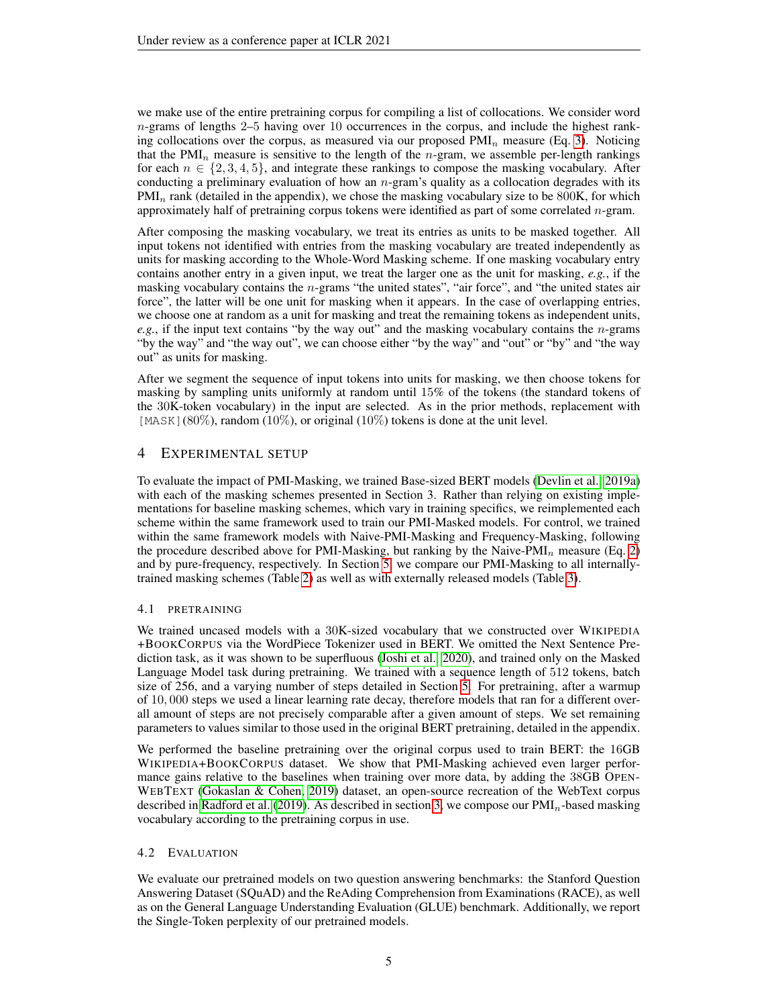we make use of the entire pretraining corpus for compiling a list of collocations. We consider word  $n$ -grams of lengths 2–5 having over 10 occurrences in the corpus, and include the highest ranking collocations over the corpus, as measured via our proposed  $PMI_n$  measure (Eq. [3\)](#page-3-1). Noticing that the PMI<sub>n</sub> measure is sensitive to the length of the *n*-gram, we assemble per-length rankings for each  $n \in \{2, 3, 4, 5\}$ , and integrate these rankings to compose the masking vocabulary. After conducting a preliminary evaluation of how an  $n$ -gram's quality as a collocation degrades with its  $PMI_n$  rank (detailed in the appendix), we chose the masking vocabulary size to be 800K, for which approximately half of pretraining corpus tokens were identified as part of some correlated n-gram.

After composing the masking vocabulary, we treat its entries as units to be masked together. All input tokens not identified with entries from the masking vocabulary are treated independently as units for masking according to the Whole-Word Masking scheme. If one masking vocabulary entry contains another entry in a given input, we treat the larger one as the unit for masking, *e.g.*, if the masking vocabulary contains the *n*-grams "the united states", "air force", and "the united states air force", the latter will be one unit for masking when it appears. In the case of overlapping entries, we choose one at random as a unit for masking and treat the remaining tokens as independent units, *e.g.*, if the input text contains "by the way out" and the masking vocabulary contains the n-grams "by the way" and "the way out", we can choose either "by the way" and "out" or "by" and "the way out" as units for masking.

After we segment the sequence of input tokens into units for masking, we then choose tokens for masking by sampling units uniformly at random until 15% of the tokens (the standard tokens of the 30K-token vocabulary) in the input are selected. As in the prior methods, replacement with [MASK](80%), random (10%), or original (10%) tokens is done at the unit level.

# <span id="page-4-0"></span>4 EXPERIMENTAL SETUP

To evaluate the impact of PMI-Masking, we trained Base-sized BERT models [\(Devlin et al., 2019a\)](#page-8-0) with each of the masking schemes presented in Section 3. Rather than relying on existing implementations for baseline masking schemes, which vary in training specifics, we reimplemented each scheme within the same framework used to train our PMI-Masked models. For control, we trained within the same framework models with Naive-PMI-Masking and Frequency-Masking, following the procedure described above for PMI-Masking, but ranking by the Naive-PMI<sub>n</sub> measure (Eq. [2\)](#page-3-2) and by pure-frequency, respectively. In Section [5,](#page-5-0) we compare our PMI-Masking to all internallytrained masking schemes (Table [2\)](#page-6-0) as well as with externally released models (Table [3\)](#page-7-0).

## 4.1 PRETRAINING

We trained uncased models with a 30K-sized vocabulary that we constructed over WIKIPEDIA +BOOKCORPUS via the WordPiece Tokenizer used in BERT. We omitted the Next Sentence Prediction task, as it was shown to be superfluous [\(Joshi et al., 2020\)](#page-8-2), and trained only on the Masked Language Model task during pretraining. We trained with a sequence length of 512 tokens, batch size of 256, and a varying number of steps detailed in Section [5.](#page-5-0) For pretraining, after a warmup of 10, 000 steps we used a linear learning rate decay, therefore models that ran for a different overall amount of steps are not precisely comparable after a given amount of steps. We set remaining parameters to values similar to those used in the original BERT pretraining, detailed in the appendix.

We performed the baseline pretraining over the original corpus used to train BERT: the 16GB WIKIPEDIA+BOOKCORPUS dataset. We show that PMI-Masking achieved even larger performance gains relative to the baselines when training over more data, by adding the 38GB OPEN-WEBTEXT [\(Gokaslan & Cohen, 2019\)](#page-8-6) dataset, an open-source recreation of the WebText corpus described in [Radford et al.](#page-8-7) [\(2019\)](#page-8-7). As described in section [3,](#page-2-1) we compose our  $\text{PMI}_n$ -based masking vocabulary according to the pretraining corpus in use.

## 4.2 EVALUATION

We evaluate our pretrained models on two question answering benchmarks: the Stanford Question Answering Dataset (SQuAD) and the ReAding Comprehension from Examinations (RACE), as well as on the General Language Understanding Evaluation (GLUE) benchmark. Additionally, we report the Single-Token perplexity of our pretrained models.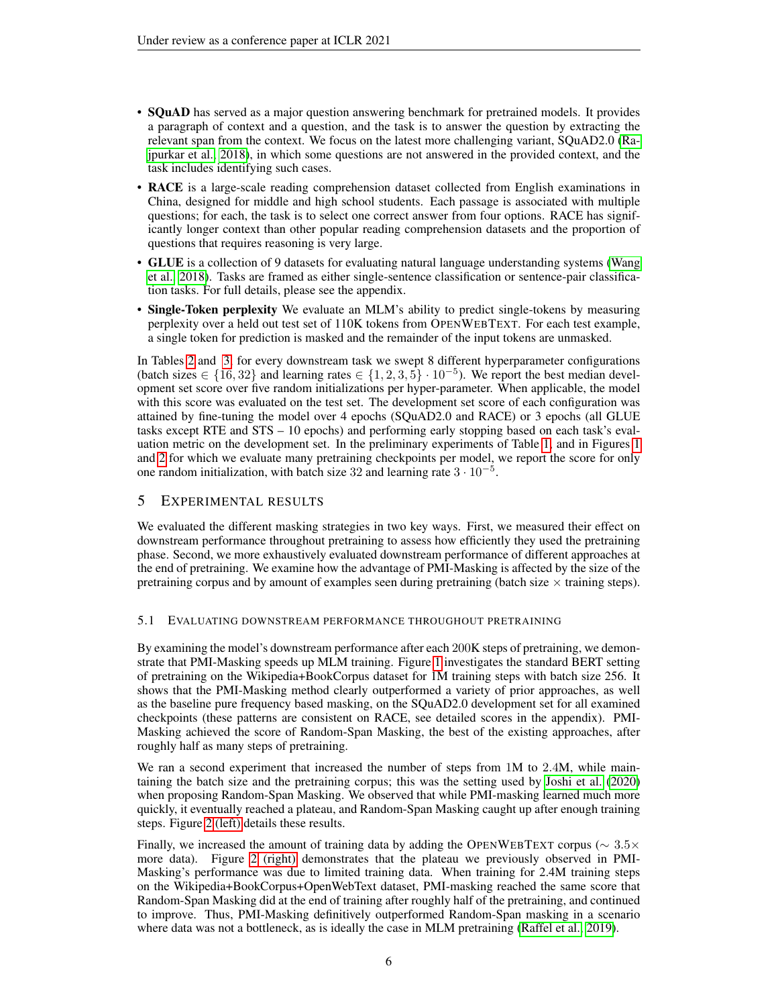- SQuAD has served as a major question answering benchmark for pretrained models. It provides a paragraph of context and a question, and the task is to answer the question by extracting the relevant span from the context. We focus on the latest more challenging variant, SQuAD2.0 [\(Ra](#page-8-8)[jpurkar et al., 2018\)](#page-8-8), in which some questions are not answered in the provided context, and the task includes identifying such cases.
- RACE is a large-scale reading comprehension dataset collected from English examinations in China, designed for middle and high school students. Each passage is associated with multiple questions; for each, the task is to select one correct answer from four options. RACE has significantly longer context than other popular reading comprehension datasets and the proportion of questions that requires reasoning is very large.
- GLUE is a collection of 9 datasets for evaluating natural language understanding systems [\(Wang](#page-9-5) [et al., 2018\)](#page-9-5). Tasks are framed as either single-sentence classification or sentence-pair classification tasks. For full details, please see the appendix.
- Single-Token perplexity We evaluate an MLM's ability to predict single-tokens by measuring perplexity over a held out test set of 110K tokens from OPENWEBTEXT. For each test example, a single token for prediction is masked and the remainder of the input tokens are unmasked.

In Tables [2](#page-6-0) and [3,](#page-7-0) for every downstream task we swept 8 different hyperparameter configurations (batch sizes ∈ {16,32} and learning rates ∈ {1, 2, 3, 5} · 10<sup>-5</sup>). We report the best median development set score over five random initializations per hyper-parameter. When applicable, the model with this score was evaluated on the test set. The development set score of each configuration was attained by fine-tuning the model over 4 epochs (SQuAD2.0 and RACE) or 3 epochs (all GLUE tasks except RTE and STS – 10 epochs) and performing early stopping based on each task's evaluation metric on the development set. In the preliminary experiments of Table [1,](#page-2-0) and in Figures [1](#page-1-0) and [2](#page-6-1) for which we evaluate many pretraining checkpoints per model, we report the score for only one random initialization, with batch size 32 and learning rate  $3 \cdot 10^{-5}$ .

# <span id="page-5-0"></span>5 EXPERIMENTAL RESULTS

We evaluated the different masking strategies in two key ways. First, we measured their effect on downstream performance throughout pretraining to assess how efficiently they used the pretraining phase. Second, we more exhaustively evaluated downstream performance of different approaches at the end of pretraining. We examine how the advantage of PMI-Masking is affected by the size of the pretraining corpus and by amount of examples seen during pretraining (batch size  $\times$  training steps).

#### 5.1 EVALUATING DOWNSTREAM PERFORMANCE THROUGHOUT PRETRAINING

By examining the model's downstream performance after each 200K steps of pretraining, we demonstrate that PMI-Masking speeds up MLM training. Figure [1](#page-1-0) investigates the standard BERT setting of pretraining on the Wikipedia+BookCorpus dataset for 1M training steps with batch size 256. It shows that the PMI-Masking method clearly outperformed a variety of prior approaches, as well as the baseline pure frequency based masking, on the SQuAD2.0 development set for all examined checkpoints (these patterns are consistent on RACE, see detailed scores in the appendix). PMI-Masking achieved the score of Random-Span Masking, the best of the existing approaches, after roughly half as many steps of pretraining.

We ran a second experiment that increased the number of steps from 1M to 2.4M, while maintaining the batch size and the pretraining corpus; this was the setting used by [Joshi et al.](#page-8-2) [\(2020\)](#page-8-2) when proposing Random-Span Masking. We observed that while PMI-masking learned much more quickly, it eventually reached a plateau, and Random-Span Masking caught up after enough training steps. Figure [2 \(left\)](#page-6-1) details these results.

Finally, we increased the amount of training data by adding the OPENWEBTEXT corpus ( $\sim 3.5 \times$ more data). Figure [2 \(right\)](#page-6-1) demonstrates that the plateau we previously observed in PMI-Masking's performance was due to limited training data. When training for 2.4M training steps on the Wikipedia+BookCorpus+OpenWebText dataset, PMI-masking reached the same score that Random-Span Masking did at the end of training after roughly half of the pretraining, and continued to improve. Thus, PMI-Masking definitively outperformed Random-Span masking in a scenario where data was not a bottleneck, as is ideally the case in MLM pretraining [\(Raffel et al., 2019\)](#page-8-3).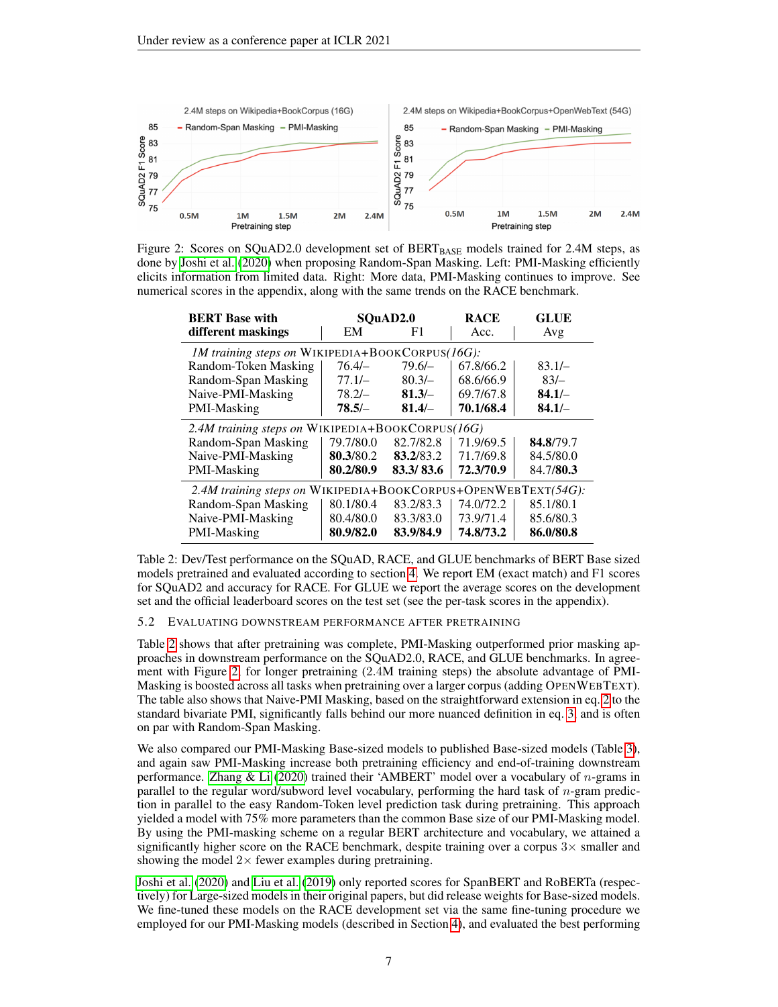<span id="page-6-1"></span>

Figure 2: Scores on SQuAD2.0 development set of  $BERT_{BASE}$  models trained for 2.4M steps, as done by [Joshi et al.](#page-8-2) [\(2020\)](#page-8-2) when proposing Random-Span Masking. Left: PMI-Masking efficiently elicits information from limited data. Right: More data, PMI-Masking continues to improve. See numerical scores in the appendix, along with the same trends on the RACE benchmark.

<span id="page-6-0"></span>

| <b>BERT</b> Base with                                         |           | SOuAD2.0  | <b>RACE</b> | <b>GLUE</b> |  |  |  |
|---------------------------------------------------------------|-----------|-----------|-------------|-------------|--|--|--|
| different maskings                                            | EM        | F1        | Acc.        | Avg         |  |  |  |
| 1M training steps on WIKIPEDIA+BOOKCORPUS(16G):               |           |           |             |             |  |  |  |
| Random-Token Masking                                          | $76.4/-$  | $79.6/-$  | 67.8/66.2   | $83.1/-$    |  |  |  |
| Random-Span Masking                                           | $77.1/-$  | $80.3/-$  | 68.6/66.9   | $83/-$      |  |  |  |
| Naive-PMI-Masking                                             | $78.2/-$  | $81.3/-$  | 69.7/67.8   | $84.1/-$    |  |  |  |
| PMI-Masking                                                   | $78.5/-$  | $81.4/-$  | 70.1/68.4   | $84.1/-$    |  |  |  |
| 2.4M training steps on WIKIPEDIA+BOOKCORPUS(16G)              |           |           |             |             |  |  |  |
| Random-Span Masking                                           | 79.7/80.0 | 82.7/82.8 | 71.9/69.5   | 84.8/79.7   |  |  |  |
| Naive-PMI-Masking                                             | 80.3/80.2 | 83.2/83.2 | 71.7/69.8   | 84.5/80.0   |  |  |  |
| PMI-Masking                                                   | 80.2/80.9 | 83.3/83.6 | 72.3/70.9   | 84.7/80.3   |  |  |  |
| 2.4M training steps on WIKIPEDIA+BOOKCORPUS+OPENWEBTEXT(54G): |           |           |             |             |  |  |  |
| Random-Span Masking                                           | 80.1/80.4 | 83.2/83.3 | 74.0/72.2   | 85.1/80.1   |  |  |  |
| Naive-PMI-Masking                                             | 80.4/80.0 | 83.3/83.0 | 73.9/71.4   | 85.6/80.3   |  |  |  |
| PMI-Masking                                                   | 80.9/82.0 | 83.9/84.9 | 74.8/73.2   | 86.0/80.8   |  |  |  |

Table 2: Dev/Test performance on the SQuAD, RACE, and GLUE benchmarks of BERT Base sized models pretrained and evaluated according to section [4.](#page-4-0) We report EM (exact match) and F1 scores for SQuAD2 and accuracy for RACE. For GLUE we report the average scores on the development set and the official leaderboard scores on the test set (see the per-task scores in the appendix).

#### 5.2 EVALUATING DOWNSTREAM PERFORMANCE AFTER PRETRAINING

Table [2](#page-6-0) shows that after pretraining was complete, PMI-Masking outperformed prior masking approaches in downstream performance on the SQuAD2.0, RACE, and GLUE benchmarks. In agreement with Figure [2,](#page-6-1) for longer pretraining (2.4M training steps) the absolute advantage of PMI-Masking is boosted across all tasks when pretraining over a larger corpus (adding OPENWEBTEXT). The table also shows that Naive-PMI Masking, based on the straightforward extension in eq. [2](#page-3-2) to the standard bivariate PMI, significantly falls behind our more nuanced definition in eq. [3,](#page-3-1) and is often on par with Random-Span Masking.

We also compared our PMI-Masking Base-sized models to published Base-sized models (Table [3\)](#page-7-0), and again saw PMI-Masking increase both pretraining efficiency and end-of-training downstream performance. [Zhang & Li](#page-9-6) [\(2020\)](#page-9-6) trained their 'AMBERT' model over a vocabulary of n-grams in parallel to the regular word/subword level vocabulary, performing the hard task of n-gram prediction in parallel to the easy Random-Token level prediction task during pretraining. This approach yielded a model with 75% more parameters than the common Base size of our PMI-Masking model. By using the PMI-masking scheme on a regular BERT architecture and vocabulary, we attained a significantly higher score on the RACE benchmark, despite training over a corpus  $3\times$  smaller and showing the model  $2\times$  fewer examples during pretraining.

[Joshi et al.](#page-8-2) [\(2020\)](#page-8-2) and [Liu et al.](#page-8-1) [\(2019\)](#page-8-1) only reported scores for SpanBERT and RoBERTa (respectively) for Large-sized models in their original papers, but did release weights for Base-sized models. We fine-tuned these models on the RACE development set via the same fine-tuning procedure we employed for our PMI-Masking models (described in Section [4\)](#page-4-0), and evaluated the best performing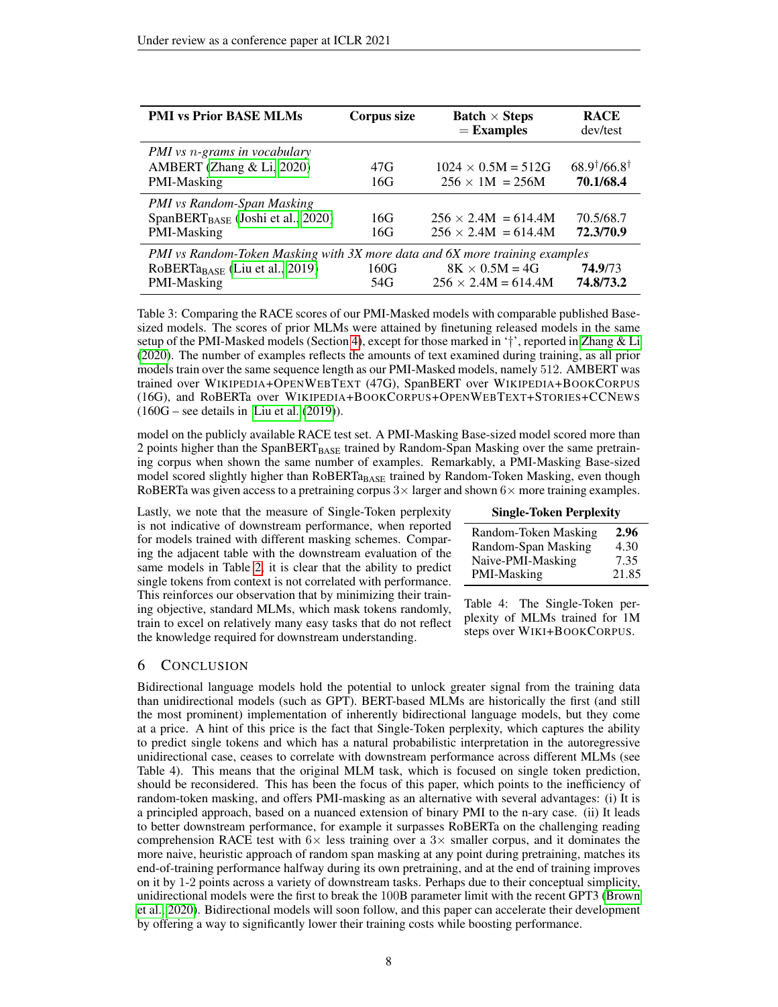<span id="page-7-0"></span>

| <b>PMI vs Prior BASE MLMs</b>                                                                                                            | Corpus size | <b>Batch</b> $\times$ Steps<br>$=$ Examples              | <b>RACE</b><br>dev/test                      |
|------------------------------------------------------------------------------------------------------------------------------------------|-------------|----------------------------------------------------------|----------------------------------------------|
| PMI vs n-grams in vocabulary<br>AMBERT (Zhang & Li, 2020)<br>PMI-Masking                                                                 | 47G<br>16G  | $1024 \times 0.5M = 512G$<br>$256 \times 1M = 256M$      | $68.9^{\dagger}/66.8^{\dagger}$<br>70.1/68.4 |
| PMI vs Random-Span Masking<br>$SpanBERT_{BASE}$ (Joshi et al., 2020)<br>PMI-Masking                                                      | 16G<br>16G  | $256 \times 2.4M = 614.4M$<br>$256 \times 2.4M = 614.4M$ | 70.5/68.7<br>72.3/70.9                       |
| PMI vs Random-Token Masking with 3X more data and 6X more training examples<br>RoBERTa <sub>BASE</sub> (Liu et al., 2019)<br>PMI-Masking | 160G<br>54G | $8K \times 0.5M = 4G$<br>$256 \times 2.4M = 614.4M$      | 74.9/73<br>74.8/73.2                         |

Table 3: Comparing the RACE scores of our PMI-Masked models with comparable published Basesized models. The scores of prior MLMs were attained by finetuning released models in the same setup of the PMI-Masked models (Section [4\)](#page-4-0), except for those marked in '†', reported in [Zhang & Li](#page-9-6) [\(2020\)](#page-9-6). The number of examples reflects the amounts of text examined during training, as all prior models train over the same sequence length as our PMI-Masked models, namely 512. AMBERT was trained over WIKIPEDIA+OPENWEBTEXT (47G), SpanBERT over WIKIPEDIA+BOOKCORPUS (16G), and RoBERTa over WIKIPEDIA+BOOKCORPUS+OPENWEBTEXT+STORIES+CCNEWS  $(160G – see details in Liu et al. (2019)).$  $(160G – see details in Liu et al. (2019)).$  $(160G – see details in Liu et al. (2019)).$  $(160G – see details in Liu et al. (2019)).$  $(160G – see details in Liu et al. (2019)).$ 

model on the publicly available RACE test set. A PMI-Masking Base-sized model scored more than 2 points higher than the SpanBERT<sub>BASE</sub> trained by Random-Span Masking over the same pretraining corpus when shown the same number of examples. Remarkably, a PMI-Masking Base-sized model scored slightly higher than RoBERTa<sub>BASE</sub> trained by Random-Token Masking, even though RoBERTa was given access to a pretraining corpus  $3 \times$  larger and shown  $6 \times$  more training examples.

Lastly, we note that the measure of Single-Token perplexity is not indicative of downstream performance, when reported for models trained with different masking schemes. Comparing the adjacent table with the downstream evaluation of the same models in Table [2,](#page-6-0) it is clear that the ability to predict single tokens from context is not correlated with performance. This reinforces our observation that by minimizing their training objective, standard MLMs, which mask tokens randomly, train to excel on relatively many easy tasks that do not reflect the knowledge required for downstream understanding.

| <b>Single-Token Perplexity</b> |       |  |  |  |  |  |
|--------------------------------|-------|--|--|--|--|--|
| Random-Token Masking           | 2.96  |  |  |  |  |  |
| Random-Span Masking            | 4.30  |  |  |  |  |  |
| Naive-PMI-Masking              | 7.35  |  |  |  |  |  |
| PMI-Masking                    | 21.85 |  |  |  |  |  |

Table 4: The Single-Token perplexity of MLMs trained for 1M steps over WIKI+BOOKCORPUS.

## 6 CONCLUSION

Bidirectional language models hold the potential to unlock greater signal from the training data than unidirectional models (such as GPT). BERT-based MLMs are historically the first (and still the most prominent) implementation of inherently bidirectional language models, but they come at a price. A hint of this price is the fact that Single-Token perplexity, which captures the ability to predict single tokens and which has a natural probabilistic interpretation in the autoregressive unidirectional case, ceases to correlate with downstream performance across different MLMs (see Table 4). This means that the original MLM task, which is focused on single token prediction, should be reconsidered. This has been the focus of this paper, which points to the inefficiency of random-token masking, and offers PMI-masking as an alternative with several advantages: (i) It is a principled approach, based on a nuanced extension of binary PMI to the n-ary case. (ii) It leads to better downstream performance, for example it surpasses RoBERTa on the challenging reading comprehension RACE test with  $6\times$  less training over a 3 $\times$  smaller corpus, and it dominates the more naive, heuristic approach of random span masking at any point during pretraining, matches its end-of-training performance halfway during its own pretraining, and at the end of training improves on it by 1-2 points across a variety of downstream tasks. Perhaps due to their conceptual simplicity, unidirectional models were the first to break the 100B parameter limit with the recent GPT3 [\(Brown](#page-8-9) [et al., 2020\)](#page-8-9). Bidirectional models will soon follow, and this paper can accelerate their development by offering a way to significantly lower their training costs while boosting performance.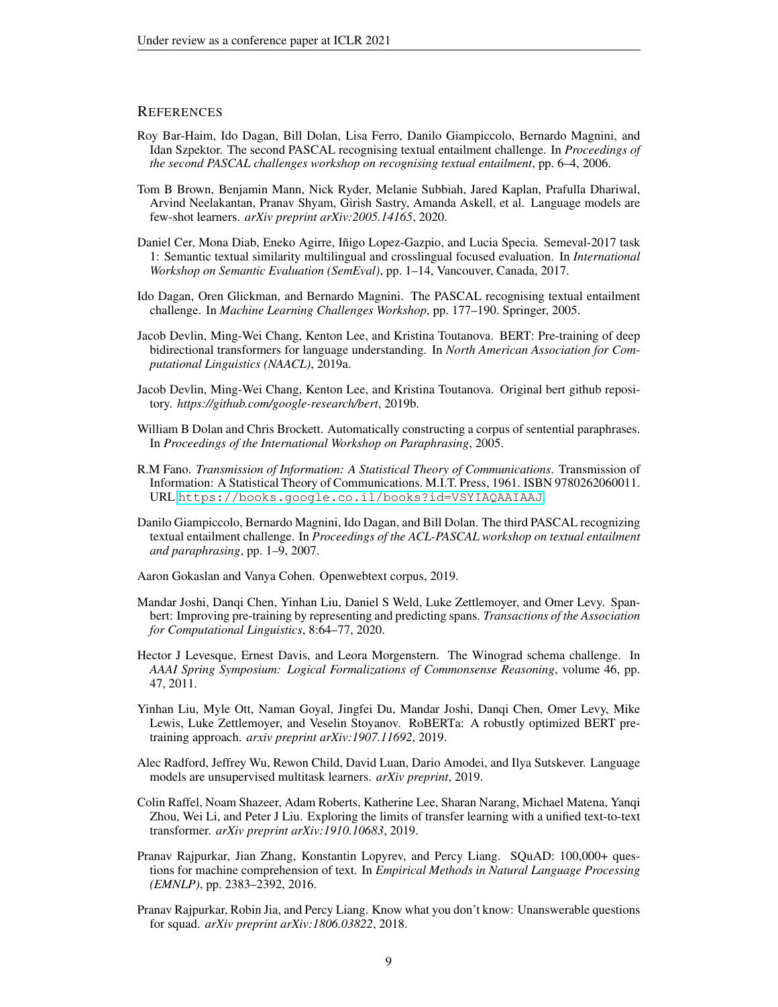#### **REFERENCES**

- <span id="page-8-14"></span>Roy Bar-Haim, Ido Dagan, Bill Dolan, Lisa Ferro, Danilo Giampiccolo, Bernardo Magnini, and Idan Szpektor. The second PASCAL recognising textual entailment challenge. In *Proceedings of the second PASCAL challenges workshop on recognising textual entailment*, pp. 6–4, 2006.
- <span id="page-8-9"></span>Tom B Brown, Benjamin Mann, Nick Ryder, Melanie Subbiah, Jared Kaplan, Prafulla Dhariwal, Arvind Neelakantan, Pranav Shyam, Girish Sastry, Amanda Askell, et al. Language models are few-shot learners. *arXiv preprint arXiv:2005.14165*, 2020.
- <span id="page-8-11"></span>Daniel Cer, Mona Diab, Eneko Agirre, Iñigo Lopez-Gazpio, and Lucia Specia. Semeval-2017 task 1: Semantic textual similarity multilingual and crosslingual focused evaluation. In *International Workshop on Semantic Evaluation (SemEval)*, pp. 1–14, Vancouver, Canada, 2017.
- <span id="page-8-13"></span>Ido Dagan, Oren Glickman, and Bernardo Magnini. The PASCAL recognising textual entailment challenge. In *Machine Learning Challenges Workshop*, pp. 177–190. Springer, 2005.
- <span id="page-8-0"></span>Jacob Devlin, Ming-Wei Chang, Kenton Lee, and Kristina Toutanova. BERT: Pre-training of deep bidirectional transformers for language understanding. In *North American Association for Computational Linguistics (NAACL)*, 2019a.
- <span id="page-8-4"></span>Jacob Devlin, Ming-Wei Chang, Kenton Lee, and Kristina Toutanova. Original bert github repository. *https://github.com/google-research/bert*, 2019b.
- <span id="page-8-10"></span>William B Dolan and Chris Brockett. Automatically constructing a corpus of sentential paraphrases. In *Proceedings of the International Workshop on Paraphrasing*, 2005.
- <span id="page-8-5"></span>R.M Fano. *Transmission of Information: A Statistical Theory of Communications*. Transmission of Information: A Statistical Theory of Communications. M.I.T. Press, 1961. ISBN 9780262060011. URL <https://books.google.co.il/books?id=VSYIAQAAIAAJ>.
- <span id="page-8-15"></span>Danilo Giampiccolo, Bernardo Magnini, Ido Dagan, and Bill Dolan. The third PASCAL recognizing textual entailment challenge. In *Proceedings of the ACL-PASCAL workshop on textual entailment and paraphrasing*, pp. 1–9, 2007.
- <span id="page-8-6"></span>Aaron Gokaslan and Vanya Cohen. Openwebtext corpus, 2019.
- <span id="page-8-2"></span>Mandar Joshi, Danqi Chen, Yinhan Liu, Daniel S Weld, Luke Zettlemoyer, and Omer Levy. Spanbert: Improving pre-training by representing and predicting spans. *Transactions of the Association for Computational Linguistics*, 8:64–77, 2020.
- <span id="page-8-16"></span>Hector J Levesque, Ernest Davis, and Leora Morgenstern. The Winograd schema challenge. In *AAAI Spring Symposium: Logical Formalizations of Commonsense Reasoning*, volume 46, pp. 47, 2011.
- <span id="page-8-1"></span>Yinhan Liu, Myle Ott, Naman Goyal, Jingfei Du, Mandar Joshi, Danqi Chen, Omer Levy, Mike Lewis, Luke Zettlemoyer, and Veselin Stoyanov. RoBERTa: A robustly optimized BERT pretraining approach. *arxiv preprint arXiv:1907.11692*, 2019.
- <span id="page-8-7"></span>Alec Radford, Jeffrey Wu, Rewon Child, David Luan, Dario Amodei, and Ilya Sutskever. Language models are unsupervised multitask learners. *arXiv preprint*, 2019.
- <span id="page-8-3"></span>Colin Raffel, Noam Shazeer, Adam Roberts, Katherine Lee, Sharan Narang, Michael Matena, Yanqi Zhou, Wei Li, and Peter J Liu. Exploring the limits of transfer learning with a unified text-to-text transformer. *arXiv preprint arXiv:1910.10683*, 2019.
- <span id="page-8-12"></span>Pranav Rajpurkar, Jian Zhang, Konstantin Lopyrev, and Percy Liang. SQuAD: 100,000+ questions for machine comprehension of text. In *Empirical Methods in Natural Language Processing (EMNLP)*, pp. 2383–2392, 2016.
- <span id="page-8-8"></span>Pranav Rajpurkar, Robin Jia, and Percy Liang. Know what you don't know: Unanswerable questions for squad. *arXiv preprint arXiv:1806.03822*, 2018.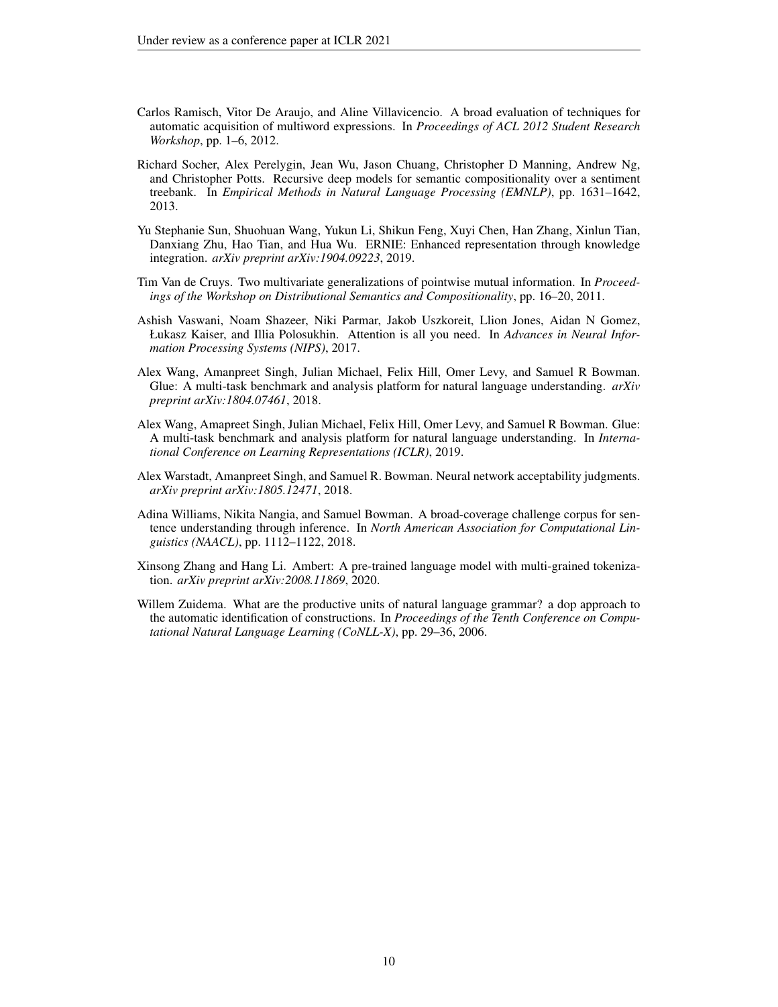- <span id="page-9-3"></span>Carlos Ramisch, Vitor De Araujo, and Aline Villavicencio. A broad evaluation of techniques for automatic acquisition of multiword expressions. In *Proceedings of ACL 2012 Student Research Workshop*, pp. 1–6, 2012.
- <span id="page-9-9"></span>Richard Socher, Alex Perelygin, Jean Wu, Jason Chuang, Christopher D Manning, Andrew Ng, and Christopher Potts. Recursive deep models for semantic compositionality over a sentiment treebank. In *Empirical Methods in Natural Language Processing (EMNLP)*, pp. 1631–1642, 2013.
- <span id="page-9-0"></span>Yu Stephanie Sun, Shuohuan Wang, Yukun Li, Shikun Feng, Xuyi Chen, Han Zhang, Xinlun Tian, Danxiang Zhu, Hao Tian, and Hua Wu. ERNIE: Enhanced representation through knowledge integration. *arXiv preprint arXiv:1904.09223*, 2019.
- <span id="page-9-4"></span>Tim Van de Cruys. Two multivariate generalizations of pointwise mutual information. In *Proceedings of the Workshop on Distributional Semantics and Compositionality*, pp. 16–20, 2011.
- <span id="page-9-1"></span>Ashish Vaswani, Noam Shazeer, Niki Parmar, Jakob Uszkoreit, Llion Jones, Aidan N Gomez, Łukasz Kaiser, and Illia Polosukhin. Attention is all you need. In *Advances in Neural Information Processing Systems (NIPS)*, 2017.
- <span id="page-9-5"></span>Alex Wang, Amanpreet Singh, Julian Michael, Felix Hill, Omer Levy, and Samuel R Bowman. Glue: A multi-task benchmark and analysis platform for natural language understanding. *arXiv preprint arXiv:1804.07461*, 2018.
- <span id="page-9-7"></span>Alex Wang, Amapreet Singh, Julian Michael, Felix Hill, Omer Levy, and Samuel R Bowman. Glue: A multi-task benchmark and analysis platform for natural language understanding. In *International Conference on Learning Representations (ICLR)*, 2019.
- <span id="page-9-8"></span>Alex Warstadt, Amanpreet Singh, and Samuel R. Bowman. Neural network acceptability judgments. *arXiv preprint arXiv:1805.12471*, 2018.
- <span id="page-9-10"></span>Adina Williams, Nikita Nangia, and Samuel Bowman. A broad-coverage challenge corpus for sentence understanding through inference. In *North American Association for Computational Linguistics (NAACL)*, pp. 1112–1122, 2018.
- <span id="page-9-6"></span>Xinsong Zhang and Hang Li. Ambert: A pre-trained language model with multi-grained tokenization. *arXiv preprint arXiv:2008.11869*, 2020.
- <span id="page-9-2"></span>Willem Zuidema. What are the productive units of natural language grammar? a dop approach to the automatic identification of constructions. In *Proceedings of the Tenth Conference on Computational Natural Language Learning (CoNLL-X)*, pp. 29–36, 2006.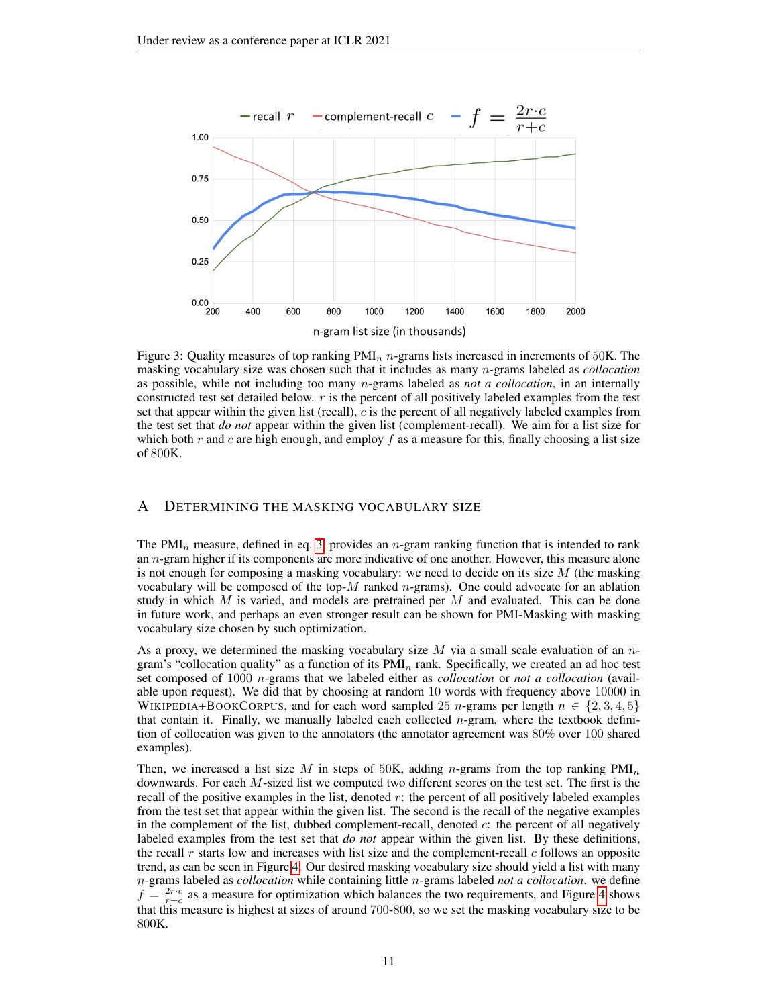<span id="page-10-0"></span>

Figure 3: Quality measures of top ranking  $PM_{n}$  n-grams lists increased in increments of 50K. The masking vocabulary size was chosen such that it includes as many n-grams labeled as *collocation* as possible, while not including too many n-grams labeled as *not a collocation*, in an internally constructed test set detailed below.  $r$  is the percent of all positively labeled examples from the test set that appear within the given list (recall),  $c$  is the percent of all negatively labeled examples from the test set that *do not* appear within the given list (complement-recall). We aim for a list size for which both r and c are high enough, and employ f as a measure for this, finally choosing a list size of 800K.

### A DETERMINING THE MASKING VOCABULARY SIZE

The PMI<sub>n</sub> measure, defined in eq. [3,](#page-3-1) provides an n-gram ranking function that is intended to rank an  $n$ -gram higher if its components are more indicative of one another. However, this measure alone is not enough for composing a masking vocabulary: we need to decide on its size  $M$  (the masking vocabulary will be composed of the top- $M$  ranked  $n$ -grams). One could advocate for an ablation study in which  $M$  is varied, and models are pretrained per  $M$  and evaluated. This can be done in future work, and perhaps an even stronger result can be shown for PMI-Masking with masking vocabulary size chosen by such optimization.

As a proxy, we determined the masking vocabulary size  $M$  via a small scale evaluation of an  $n$ gram's "collocation quality" as a function of its  $PMI_n$  rank. Specifically, we created an ad hoc test set composed of 1000 n-grams that we labeled either as *collocation* or *not a collocation* (available upon request). We did that by choosing at random 10 words with frequency above 10000 in WIKIPEDIA+BOOKCORPUS, and for each word sampled 25 n-grams per length  $n \in \{2, 3, 4, 5\}$ that contain it. Finally, we manually labeled each collected n-gram, where the textbook definition of collocation was given to the annotators (the annotator agreement was 80% over 100 shared examples).

Then, we increased a list size M in steps of 50K, adding n-grams from the top ranking  $PMI_n$ downwards. For each M-sized list we computed two different scores on the test set. The first is the recall of the positive examples in the list, denoted  $r$ : the percent of all positively labeled examples from the test set that appear within the given list. The second is the recall of the negative examples in the complement of the list, dubbed complement-recall, denoted c: the percent of all negatively labeled examples from the test set that *do not* appear within the given list. By these definitions, the recall r starts low and increases with list size and the complement-recall  $c$  follows an opposite trend, as can be seen in Figure [4.](#page-10-0) Our desired masking vocabulary size should yield a list with many n-grams labeled as *collocation* while containing little n-grams labeled *not a collocation*. we define  $f = \frac{2r \cdot c}{r+c}$  as a measure for optimization which balances the two requirements, and Figure [4](#page-10-0) shows that this measure is highest at sizes of around 700-800, so we set the masking vocabulary size to be 800K.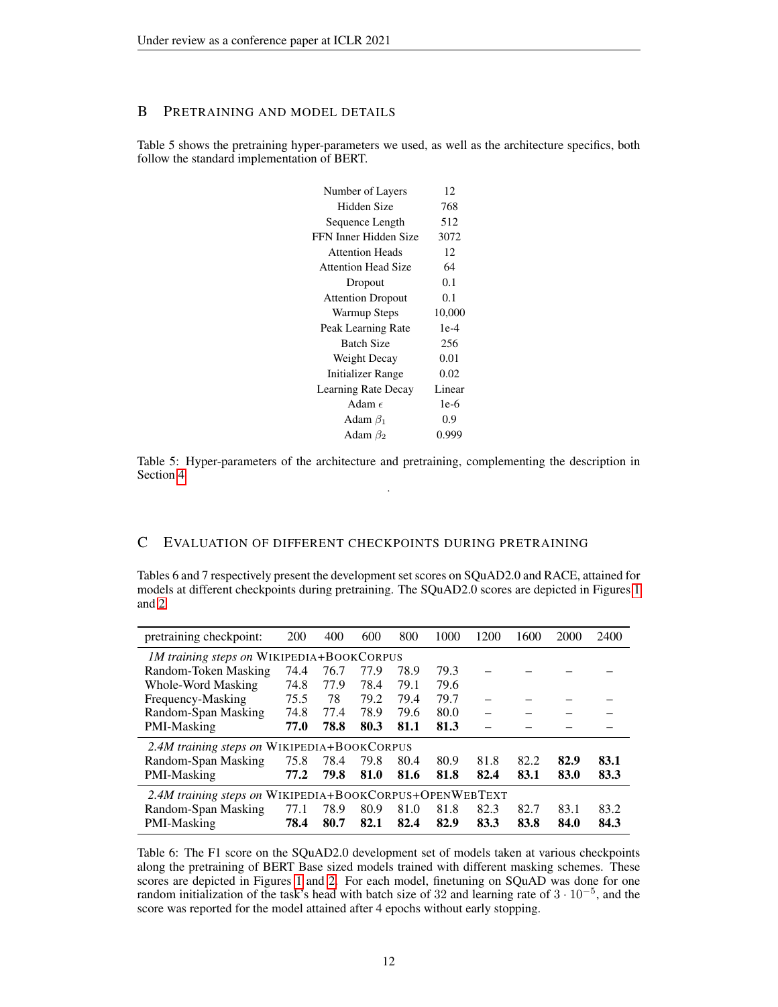# B PRETRAINING AND MODEL DETAILS

Table 5 shows the pretraining hyper-parameters we used, as well as the architecture specifics, both follow the standard implementation of BERT.

| Number of Layers           | 12     |
|----------------------------|--------|
| Hidden Size                | 768    |
| Sequence Length            | 512    |
| FFN Inner Hidden Size      | 3072   |
| <b>Attention Heads</b>     | 12     |
| <b>Attention Head Size</b> | 64     |
| Dropout                    | 0.1    |
| <b>Attention Dropout</b>   | 0.1    |
| Warmup Steps               | 10,000 |
| Peak Learning Rate         | $1e-4$ |
| <b>Batch Size</b>          | 256    |
| Weight Decay               | 0.01   |
| <b>Initializer Range</b>   | 0.02   |
| Learning Rate Decay        | Linear |
| Adam $\epsilon$            | $1e-6$ |
| Adam $\beta_1$             | 0.9    |
| Adam $\beta_2$             | 0.999  |
|                            |        |

Table 5: Hyper-parameters of the architecture and pretraining, complementing the description in Section [4](#page-4-0) .

## C EVALUATION OF DIFFERENT CHECKPOINTS DURING PRETRAINING

Tables 6 and 7 respectively present the development set scores on SQuAD2.0 and RACE, attained for models at different checkpoints during pretraining. The SQuAD2.0 scores are depicted in Figures [1](#page-1-0) and [2.](#page-6-1)

| pretraining checkpoint:                                 | <b>200</b> | 400  | 600  | 800  | 1000 | 1200 | 1600 | 2000 | 2400 |
|---------------------------------------------------------|------------|------|------|------|------|------|------|------|------|
| 1M training steps on WIKIPEDIA+BOOKCORPUS               |            |      |      |      |      |      |      |      |      |
| Random-Token Masking                                    | 74.4       | 76.7 | 77.9 | 78.9 | 79.3 |      |      |      |      |
| Whole-Word Masking                                      | 74.8       | 77.9 | 78.4 | 79.1 | 79.6 |      |      |      |      |
| Frequency-Masking                                       | 75.5       | 78   | 79.2 | 79.4 | 79.7 |      |      |      |      |
| Random-Span Masking                                     | 74.8       | 77.4 | 78.9 | 79.6 | 80.0 |      |      |      |      |
| PMI-Masking                                             | 77.0       | 78.8 | 80.3 | 81.1 | 81.3 |      |      |      |      |
| 2.4M training steps on WIKIPEDIA+BOOKCORPUS             |            |      |      |      |      |      |      |      |      |
| Random-Span Masking                                     | 75.8       | 78.4 | 79.8 | 80.4 | 80.9 | 81.8 | 82.2 | 82.9 | 83.1 |
| PMI-Masking                                             | 77.2       | 79.8 | 81.0 | 81.6 | 81.8 | 82.4 | 83.1 | 83.0 | 83.3 |
| 2.4M training steps on WIKIPEDIA+BOOKCORPUS+OPENWEBTEXT |            |      |      |      |      |      |      |      |      |
| Random-Span Masking                                     | 77.1       | 78.9 | 80.9 | 81.0 | 81.8 | 82.3 | 82.7 | 83.1 | 83.2 |
| PMI-Masking                                             | 78.4       | 80.7 | 82.1 | 82.4 | 82.9 | 83.3 | 83.8 | 84.0 | 84.3 |

Table 6: The F1 score on the SQuAD2.0 development set of models taken at various checkpoints along the pretraining of BERT Base sized models trained with different masking schemes. These scores are depicted in Figures [1](#page-1-0) and [2.](#page-6-1) For each model, finetuning on SQuAD was done for one random initialization of the task's head with batch size of 32 and learning rate of  $3 \cdot 10^{-5}$ , and the score was reported for the model attained after 4 epochs without early stopping.